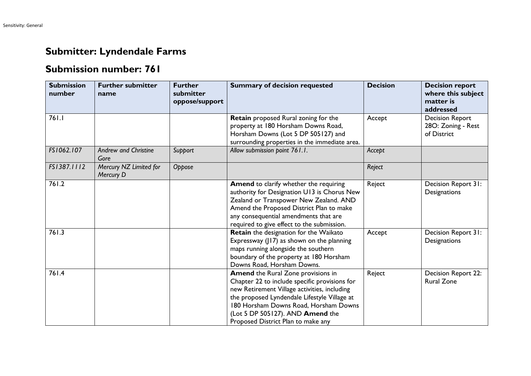## **Submitter: Lyndendale Farms**

## **Submission number: 761**

| <b>Submission</b><br>number | <b>Further submitter</b><br>name    | <b>Further</b><br>submitter<br>oppose/support | <b>Summary of decision requested</b>                                                                                                                                                                                                                                                                          | <b>Decision</b> | <b>Decision report</b><br>where this subject<br>matter is<br>addressed |
|-----------------------------|-------------------------------------|-----------------------------------------------|---------------------------------------------------------------------------------------------------------------------------------------------------------------------------------------------------------------------------------------------------------------------------------------------------------------|-----------------|------------------------------------------------------------------------|
| 761.1                       |                                     |                                               | Retain proposed Rural zoning for the<br>property at 180 Horsham Downs Road,<br>Horsham Downs (Lot 5 DP 505127) and<br>surrounding properties in the immediate area.                                                                                                                                           | Accept          | <b>Decision Report</b><br>28O: Zoning - Rest<br>of District            |
| FS1062.107                  | <b>Andrew and Christine</b><br>Gore | Support                                       | Allow submission point 761.1.                                                                                                                                                                                                                                                                                 | Accept          |                                                                        |
| FS1387.1112                 | Mercury NZ Limited for<br>Mercury D | Oppose                                        |                                                                                                                                                                                                                                                                                                               | Reject          |                                                                        |
| 761.2                       |                                     |                                               | Amend to clarify whether the requiring<br>authority for Designation U13 is Chorus New<br>Zealand or Transpower New Zealand. AND<br>Amend the Proposed District Plan to make<br>any consequential amendments that are<br>required to give effect to the submission.                                            | Reject          | Decision Report 31:<br>Designations                                    |
| 761.3                       |                                     |                                               | Retain the designation for the Waikato<br>Expressway (J17) as shown on the planning<br>maps running alongside the southern<br>boundary of the property at 180 Horsham<br>Downs Road, Horsham Downs.                                                                                                           | Accept          | Decision Report 31:<br>Designations                                    |
| 761.4                       |                                     |                                               | <b>Amend</b> the Rural Zone provisions in<br>Chapter 22 to include specific provisions for<br>new Retirement Village activities, including<br>the proposed Lyndendale Lifestyle Village at<br>180 Horsham Downs Road, Horsham Downs<br>(Lot 5 DP 505127). AND Amend the<br>Proposed District Plan to make any | Reject          | Decision Report 22:<br><b>Rural Zone</b>                               |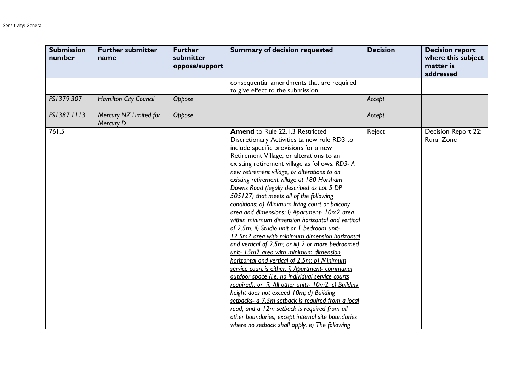| <b>Submission</b><br>number | <b>Further submitter</b><br>name    | <b>Further</b><br>submitter<br>oppose/support | <b>Summary of decision requested</b>                                                                                                                                                                                                                                                                                                                                                                                                                                                                                                                                                                                                                                                                                                                                                                                                                                                                                                                                                                                                                                                                                                                                                                                                        | <b>Decision</b> | <b>Decision report</b><br>where this subject<br>matter is<br>addressed |
|-----------------------------|-------------------------------------|-----------------------------------------------|---------------------------------------------------------------------------------------------------------------------------------------------------------------------------------------------------------------------------------------------------------------------------------------------------------------------------------------------------------------------------------------------------------------------------------------------------------------------------------------------------------------------------------------------------------------------------------------------------------------------------------------------------------------------------------------------------------------------------------------------------------------------------------------------------------------------------------------------------------------------------------------------------------------------------------------------------------------------------------------------------------------------------------------------------------------------------------------------------------------------------------------------------------------------------------------------------------------------------------------------|-----------------|------------------------------------------------------------------------|
|                             |                                     |                                               | consequential amendments that are required<br>to give effect to the submission.                                                                                                                                                                                                                                                                                                                                                                                                                                                                                                                                                                                                                                                                                                                                                                                                                                                                                                                                                                                                                                                                                                                                                             |                 |                                                                        |
| FS1379.307                  | Hamilton City Council               | Oppose                                        |                                                                                                                                                                                                                                                                                                                                                                                                                                                                                                                                                                                                                                                                                                                                                                                                                                                                                                                                                                                                                                                                                                                                                                                                                                             | Accept          |                                                                        |
| FS1387.1113                 | Mercury NZ Limited for<br>Mercury D | Oppose                                        |                                                                                                                                                                                                                                                                                                                                                                                                                                                                                                                                                                                                                                                                                                                                                                                                                                                                                                                                                                                                                                                                                                                                                                                                                                             | Accept          |                                                                        |
| 761.5                       |                                     |                                               | <b>Amend to Rule 22.1.3 Restricted</b><br>Discretionary Activities ta new rule RD3 to<br>include specific provisions for a new<br>Retirement Village, or alterations to an<br>existing retirement village as follows: RD3-A<br>new retirement village, or alterations to an<br>existing retirement village at 180 Horsham<br>Downs Road (legally described as Lot 5 DP<br>505127) that meets all of the following<br>conditions: a) Minimum living court or balcony<br>grea and dimensions: i) Apartment- 10m2 area<br>within minimum dimension horizontal and vertical<br>of 2.5m. ii) Studio unit or I bedroom unit-<br>12.5m2 area with minimum dimension horizontal<br>and vertical of 2.5m; or iii) 2 or more bedroomed<br>unit- 15m2 area with minimum dimension<br>horizontal and vertical of 2.5m; b) Minimum<br>service court is either: i) Apartment- communal<br>outdoor space (i.e. no individual service courts<br>required); or ii) All other units- 10m2. c) Building<br>height does not exceed 10m; d) Building<br>setbacks- a 7.5m setback is required from a local<br>road, and a 12m setback is required from all<br>other boundaries; except internal site boundaries<br>where no setback shall apply. e) The following | Reject          | Decision Report 22:<br><b>Rural Zone</b>                               |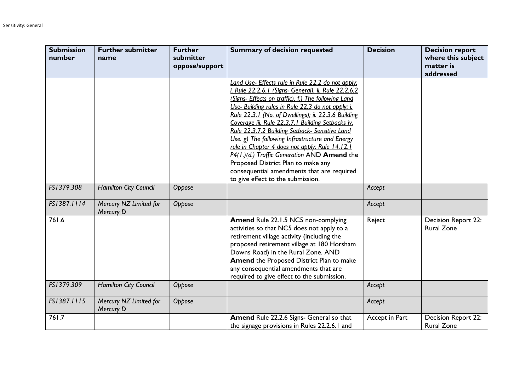| <b>Submission</b><br>number | <b>Further submitter</b><br>name    | <b>Further</b><br>submitter<br>oppose/support | <b>Summary of decision requested</b>                                                                                                                                                                                                                                                                                                                                                                                                                                                                                                                                                                                                                             | <b>Decision</b> | <b>Decision report</b><br>where this subject<br>matter is<br>addressed |
|-----------------------------|-------------------------------------|-----------------------------------------------|------------------------------------------------------------------------------------------------------------------------------------------------------------------------------------------------------------------------------------------------------------------------------------------------------------------------------------------------------------------------------------------------------------------------------------------------------------------------------------------------------------------------------------------------------------------------------------------------------------------------------------------------------------------|-----------------|------------------------------------------------------------------------|
|                             |                                     |                                               | Land Use- Effects rule in Rule 22.2 do not apply:<br>i. Rule 22.2.6.1 (Signs- General). ii. Rule 22.2.6.2<br>(Signs- Effects on traffic). f.) The following Land<br>Use- Building rules in Rule 22.3 do not apply: i.<br>Rule 22.3.1 (No. of Dwellings); ii. 22.3.6 Building<br>Coverage iii. Rule 22.3.7.1 Building Setbacks iv.<br>Rule 22.3.7.2 Building Setback- Sensitive Land<br>Use. g) The following Infrastructure and Energy<br>rule in Chapter 4 does not apply: Rule 14.12.1<br>P4(1.)(d.) Traffic Generation AND Amend the<br>Proposed District Plan to make any<br>consequential amendments that are required<br>to give effect to the submission. |                 |                                                                        |
| FS1379.308                  | Hamilton City Council               | Oppose                                        |                                                                                                                                                                                                                                                                                                                                                                                                                                                                                                                                                                                                                                                                  | Accept          |                                                                        |
| FS1387.1114                 | Mercury NZ Limited for<br>Mercury D | Oppose                                        |                                                                                                                                                                                                                                                                                                                                                                                                                                                                                                                                                                                                                                                                  | Accept          |                                                                        |
| 761.6                       |                                     |                                               | Amend Rule 22.1.5 NC5 non-complying<br>activities so that NC5 does not apply to a<br>retirement village activity (including the<br>proposed retirement village at 180 Horsham<br>Downs Road) in the Rural Zone. AND<br>Amend the Proposed District Plan to make<br>any consequential amendments that are<br>required to give effect to the submission.                                                                                                                                                                                                                                                                                                           | Reject          | Decision Report 22:<br><b>Rural Zone</b>                               |
| FS1379.309                  | <b>Hamilton City Council</b>        | Oppose                                        |                                                                                                                                                                                                                                                                                                                                                                                                                                                                                                                                                                                                                                                                  | Accept          |                                                                        |
| FS1387.1115                 | Mercury NZ Limited for<br>Mercury D | Oppose                                        |                                                                                                                                                                                                                                                                                                                                                                                                                                                                                                                                                                                                                                                                  | Accept          |                                                                        |
| 761.7                       |                                     |                                               | Amend Rule 22.2.6 Signs- General so that<br>the signage provisions in Rules 22.2.6.1 and                                                                                                                                                                                                                                                                                                                                                                                                                                                                                                                                                                         | Accept in Part  | Decision Report 22:<br><b>Rural Zone</b>                               |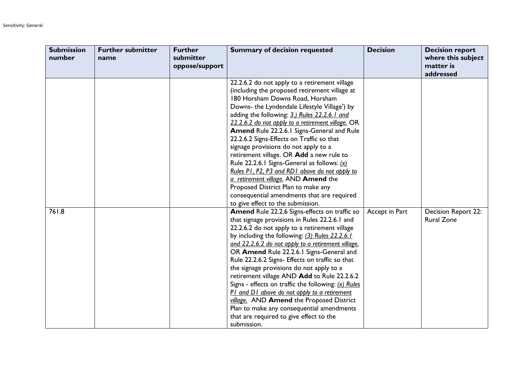| <b>Submission</b><br>number | <b>Further submitter</b><br>name | <b>Further</b><br>submitter<br>oppose/support | <b>Summary of decision requested</b>                                                                                                                                                                                                                                                                                                                                                                                                                                                                                                                                                                                                                                                                                                   | <b>Decision</b> | <b>Decision report</b><br>where this subject<br>matter is<br>addressed |
|-----------------------------|----------------------------------|-----------------------------------------------|----------------------------------------------------------------------------------------------------------------------------------------------------------------------------------------------------------------------------------------------------------------------------------------------------------------------------------------------------------------------------------------------------------------------------------------------------------------------------------------------------------------------------------------------------------------------------------------------------------------------------------------------------------------------------------------------------------------------------------------|-----------------|------------------------------------------------------------------------|
|                             |                                  |                                               | 22.2.6.2 do not apply to a retirement village<br>(including the proposed retirement village at<br>180 Horsham Downs Road, Horsham<br>Downs- the Lyndendale Lifestyle Village') by<br>adding the following: 3.) Rules 22.2.6.1 and<br>22.2.6.2 do not apply to a retirement village. OR<br>Amend Rule 22.2.6.1 Signs-General and Rule<br>22.2.6.2 Signs-Effects on Traffic so that<br>signage provisions do not apply to a<br>retirement village. OR Add a new rule to<br>Rule 22.2.6.1 Signs-General as follows: (x)<br>Rules P1, P2, P3 and RD1 above do not apply to<br>a retirement village. AND Amend the<br>Proposed District Plan to make any<br>consequential amendments that are required<br>to give effect to the submission. |                 |                                                                        |
| 761.8                       |                                  |                                               | Amend Rule 22.2.6 Signs-effects on traffic so<br>that signage provisions in Rules 22.2.6.1 and<br>22.2.6.2 do not apply to a retirement village<br>by including the following: (3) Rules 22.2.6.1<br>and 22.2.6.2 do not apply to a retirement village.<br>OR Amend Rule 22.2.6.1 Signs-General and<br>Rule 22.2.6.2 Signs- Effects on traffic so that<br>the signage provisions do not apply to a<br>retirement village AND Add to Rule 22.2.6.2<br>Signs - effects on traffic the following: $(x)$ Rules<br>PI and DI above do not apply to a retirement<br>village. AND Amend the Proposed District<br>Plan to make any consequential amendments<br>that are required to give effect to the<br>submission.                          | Accept in Part  | <b>Decision Report 22:</b><br><b>Rural Zone</b>                        |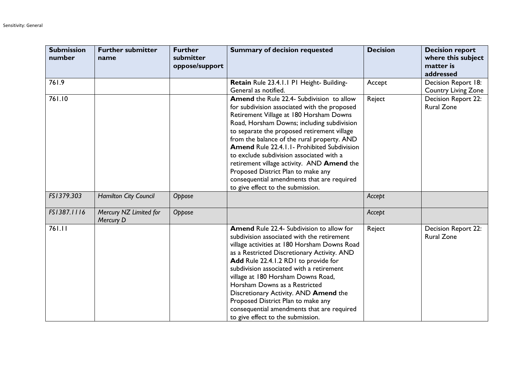| <b>Submission</b><br>number | <b>Further submitter</b><br>name    | <b>Further</b><br>submitter<br>oppose/support | <b>Summary of decision requested</b>                                                                                                                                                                                                                                                                                                                                                                                                                                                                                                                              | <b>Decision</b> | <b>Decision report</b><br>where this subject<br>matter is<br>addressed |
|-----------------------------|-------------------------------------|-----------------------------------------------|-------------------------------------------------------------------------------------------------------------------------------------------------------------------------------------------------------------------------------------------------------------------------------------------------------------------------------------------------------------------------------------------------------------------------------------------------------------------------------------------------------------------------------------------------------------------|-----------------|------------------------------------------------------------------------|
| 761.9                       |                                     |                                               | Retain Rule 23.4.1.1 P1 Height- Building-<br>General as notified.                                                                                                                                                                                                                                                                                                                                                                                                                                                                                                 | Accept          | Decision Report 18:<br><b>Country Living Zone</b>                      |
| 761.10                      |                                     |                                               | <b>Amend</b> the Rule 22.4- Subdivision to allow<br>for subdivision associated with the proposed<br>Retirement Village at 180 Horsham Downs<br>Road, Horsham Downs; including subdivision<br>to separate the proposed retirement village<br>from the balance of the rural property. AND<br><b>Amend Rule 22.4.1.1 - Prohibited Subdivision</b><br>to exclude subdivision associated with a<br>retirement village activity. AND Amend the<br>Proposed District Plan to make any<br>consequential amendments that are required<br>to give effect to the submission. | Reject          | Decision Report 22:<br><b>Rural Zone</b>                               |
| FS1379.303                  | Hamilton City Council               | Oppose                                        |                                                                                                                                                                                                                                                                                                                                                                                                                                                                                                                                                                   | Accept          |                                                                        |
| FS1387.1116                 | Mercury NZ Limited for<br>Mercury D | Oppose                                        |                                                                                                                                                                                                                                                                                                                                                                                                                                                                                                                                                                   | Accept          |                                                                        |
| 761.11                      |                                     |                                               | <b>Amend Rule 22.4- Subdivision to allow for</b><br>subdivision associated with the retirement<br>village activities at 180 Horsham Downs Road<br>as a Restricted Discretionary Activity. AND<br>Add Rule 22.4.1.2 RD1 to provide for<br>subdivision associated with a retirement<br>village at 180 Horsham Downs Road,<br>Horsham Downs as a Restricted<br>Discretionary Activity. AND Amend the<br>Proposed District Plan to make any<br>consequential amendments that are required<br>to give effect to the submission.                                        | Reject          | Decision Report 22:<br><b>Rural Zone</b>                               |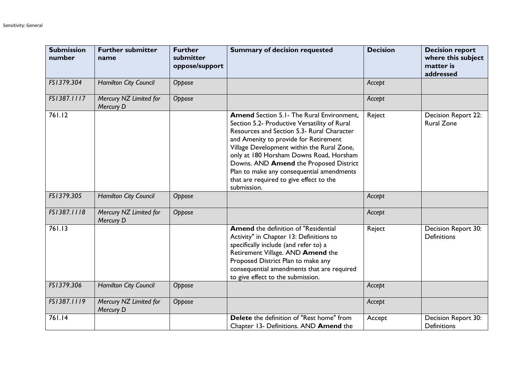| <b>Submission</b><br>number | <b>Further submitter</b><br>name    | <b>Further</b><br>submitter<br>oppose/support | <b>Summary of decision requested</b>                                                                                                                                                                                                                                                                                                                                                                                               | <b>Decision</b> | <b>Decision report</b><br>where this subject<br>matter is<br>addressed |
|-----------------------------|-------------------------------------|-----------------------------------------------|------------------------------------------------------------------------------------------------------------------------------------------------------------------------------------------------------------------------------------------------------------------------------------------------------------------------------------------------------------------------------------------------------------------------------------|-----------------|------------------------------------------------------------------------|
| FS1379.304                  | <b>Hamilton City Council</b>        | Oppose                                        |                                                                                                                                                                                                                                                                                                                                                                                                                                    | Accept          |                                                                        |
| FS1387.1117                 | Mercury NZ Limited for<br>Mercury D | Oppose                                        |                                                                                                                                                                                                                                                                                                                                                                                                                                    | Accept          |                                                                        |
| 761.12                      |                                     |                                               | <b>Amend</b> Section 5.1 - The Rural Environment,<br>Section 5.2- Productive Versatility of Rural<br>Resources and Section 5.3- Rural Character<br>and Amenity to provide for Retirement<br>Village Development within the Rural Zone,<br>only at 180 Horsham Downs Road, Horsham<br>Downs. AND Amend the Proposed District<br>Plan to make any consequential amendments<br>that are required to give effect to the<br>submission. | Reject          | Decision Report 22:<br><b>Rural Zone</b>                               |
| FS1379.305                  | <b>Hamilton City Council</b>        | Oppose                                        |                                                                                                                                                                                                                                                                                                                                                                                                                                    | Accept          |                                                                        |
| FS1387.1118                 | Mercury NZ Limited for<br>Mercury D | Oppose                                        |                                                                                                                                                                                                                                                                                                                                                                                                                                    | Accept          |                                                                        |
| 761.13                      |                                     |                                               | <b>Amend</b> the definition of "Residential<br>Activity" in Chapter 13: Definitions to<br>specifically include (and refer to) a<br>Retirement Village. AND Amend the<br>Proposed District Plan to make any<br>consequential amendments that are required<br>to give effect to the submission.                                                                                                                                      | Reject          | Decision Report 30:<br><b>Definitions</b>                              |
| FS1379.306                  | <b>Hamilton City Council</b>        | Oppose                                        |                                                                                                                                                                                                                                                                                                                                                                                                                                    | Accept          |                                                                        |
| FS1387.1119                 | Mercury NZ Limited for<br>Mercury D | Oppose                                        |                                                                                                                                                                                                                                                                                                                                                                                                                                    | Accept          |                                                                        |
| 761.14                      |                                     |                                               | Delete the definition of "Rest home" from<br>Chapter 13- Definitions. AND Amend the                                                                                                                                                                                                                                                                                                                                                | Accept          | Decision Report 30:<br><b>Definitions</b>                              |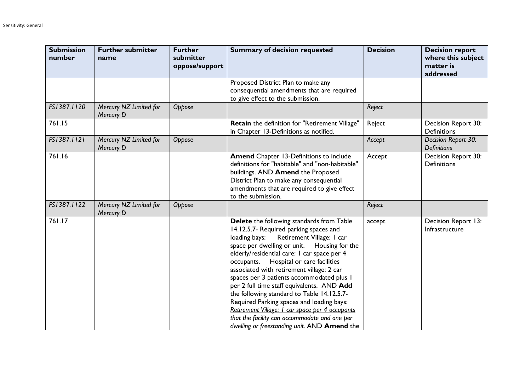| <b>Submission</b><br>number | <b>Further submitter</b><br>name    | <b>Further</b><br>submitter<br>oppose/support | <b>Summary of decision requested</b>                                                                                                                                                                                                                                                                                                                                                                                                                                                                                                                                                                                                                             | <b>Decision</b> | <b>Decision report</b><br>where this subject<br>matter is<br>addressed |
|-----------------------------|-------------------------------------|-----------------------------------------------|------------------------------------------------------------------------------------------------------------------------------------------------------------------------------------------------------------------------------------------------------------------------------------------------------------------------------------------------------------------------------------------------------------------------------------------------------------------------------------------------------------------------------------------------------------------------------------------------------------------------------------------------------------------|-----------------|------------------------------------------------------------------------|
|                             |                                     |                                               | Proposed District Plan to make any<br>consequential amendments that are required<br>to give effect to the submission.                                                                                                                                                                                                                                                                                                                                                                                                                                                                                                                                            |                 |                                                                        |
| FS1387.1120                 | Mercury NZ Limited for<br>Mercury D | Oppose                                        |                                                                                                                                                                                                                                                                                                                                                                                                                                                                                                                                                                                                                                                                  | Reject          |                                                                        |
| 761.15                      |                                     |                                               | Retain the definition for "Retirement Village"<br>in Chapter 13-Definitions as notified.                                                                                                                                                                                                                                                                                                                                                                                                                                                                                                                                                                         | Reject          | Decision Report 30:<br><b>Definitions</b>                              |
| FS1387.1121                 | Mercury NZ Limited for<br>Mercury D | Oppose                                        |                                                                                                                                                                                                                                                                                                                                                                                                                                                                                                                                                                                                                                                                  | Accept          | Decision Report 30:<br><b>Definitions</b>                              |
| 761.16                      |                                     |                                               | <b>Amend</b> Chapter 13-Definitions to include<br>definitions for "habitable" and "non-habitable"<br>buildings. AND Amend the Proposed<br>District Plan to make any consequential<br>amendments that are required to give effect<br>to the submission.                                                                                                                                                                                                                                                                                                                                                                                                           | Accept          | Decision Report 30:<br><b>Definitions</b>                              |
| FS1387.1122                 | Mercury NZ Limited for<br>Mercury D | Oppose                                        |                                                                                                                                                                                                                                                                                                                                                                                                                                                                                                                                                                                                                                                                  | Reject          |                                                                        |
| 761.17                      |                                     |                                               | Delete the following standards from Table<br>14.12.5.7- Required parking spaces and<br>Retirement Village: I car<br>loading bays:<br>space per dwelling or unit. Housing for the<br>elderly/residential care: I car space per 4<br>occupants. Hospital or care facilities<br>associated with retirement village: 2 car<br>spaces per 3 patients accommodated plus 1<br>per 2 full time staff equivalents. AND Add<br>the following standard to Table 14.12.5.7-<br>Required Parking spaces and loading bays:<br>Retirement Village: I car space per 4 occupants<br>that the facility can accommodate and one per<br>dwelling or freestanding unit. AND Amend the | accept          | Decision Report 13:<br>Infrastructure                                  |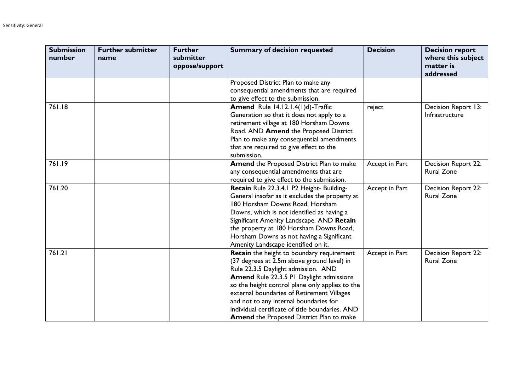| <b>Submission</b><br>number | <b>Further submitter</b><br>name | <b>Further</b><br>submitter<br>oppose/support | <b>Summary of decision requested</b>                                                                                                                                                                                                                                                                                                                                                                                               | <b>Decision</b> | <b>Decision report</b><br>where this subject<br>matter is<br>addressed |
|-----------------------------|----------------------------------|-----------------------------------------------|------------------------------------------------------------------------------------------------------------------------------------------------------------------------------------------------------------------------------------------------------------------------------------------------------------------------------------------------------------------------------------------------------------------------------------|-----------------|------------------------------------------------------------------------|
|                             |                                  |                                               | Proposed District Plan to make any<br>consequential amendments that are required<br>to give effect to the submission.                                                                                                                                                                                                                                                                                                              |                 |                                                                        |
| 761.18                      |                                  |                                               | Amend Rule 14.12.1.4(1)d)-Traffic<br>Generation so that it does not apply to a<br>retirement village at 180 Horsham Downs<br>Road. AND Amend the Proposed District<br>Plan to make any consequential amendments<br>that are required to give effect to the<br>submission.                                                                                                                                                          | reject          | Decision Report 13:<br>Infrastructure                                  |
| 761.19                      |                                  |                                               | <b>Amend the Proposed District Plan to make</b><br>any consequential amendments that are<br>required to give effect to the submission.                                                                                                                                                                                                                                                                                             | Accept in Part  | <b>Decision Report 22:</b><br><b>Rural Zone</b>                        |
| 761.20                      |                                  |                                               | Retain Rule 22.3.4.1 P2 Height- Building-<br>General insofar as it excludes the property at<br>180 Horsham Downs Road, Horsham<br>Downs, which is not identified as having a<br>Significant Amenity Landscape. AND Retain<br>the property at 180 Horsham Downs Road,<br>Horsham Downs as not having a Significant<br>Amenity Landscape identified on it.                                                                           | Accept in Part  | Decision Report 22:<br><b>Rural Zone</b>                               |
| 761.21                      |                                  |                                               | <b>Retain</b> the height to boundary requirement<br>(37 degrees at 2.5m above ground level) in<br>Rule 22.3.5 Daylight admission. AND<br>Amend Rule 22.3.5 PI Daylight admissions<br>so the height control plane only applies to the<br>external boundaries of Retirement Villages<br>and not to any internal boundaries for<br>individual certificate of title boundaries. AND<br><b>Amend the Proposed District Plan to make</b> | Accept in Part  | <b>Decision Report 22:</b><br><b>Rural Zone</b>                        |